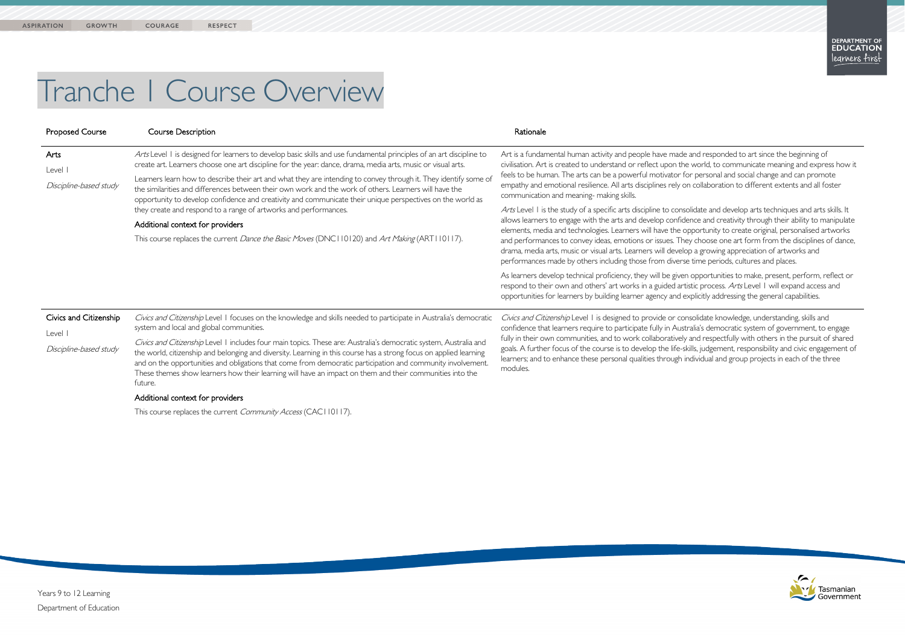de and responded to art since the beginning of he world, to communicate meaning and express how it for personal and social change and can promote on collaboration to different extents and all foster

solidate and develop arts techniques and arts skills. It dence and creativity through their ability to manipulate opportunity to create original, personalised artworks ney choose one art form from the disciplines of dance, elop a growing appreciation of artworks and se time periods, cultures and places.

en opportunities to make, present, perform, reflect or rtistic process. Arts Level 1 will expand access and explicitly addressing the general capabilities.

onsolidate knowledge, understanding, skills and istralia's democratic system of government, to engage ely and respectfully with others in the pursuit of shared skills, judgement, responsibility and civic engagement of individual and group projects in each of the three



# Tranche 1 Course Overview

| <b>Proposed Course</b>                                      | Course Description                                                                                                                                                                                                                                                                                                                                                                                                                                                                                                                                                                                                                                                                                                                                                                         | Rationale                                                                                                                                                                                                                                                                                                                                                                                                                                                                                                                                                                                                                                                                                                                                                                                                                                                                      |
|-------------------------------------------------------------|--------------------------------------------------------------------------------------------------------------------------------------------------------------------------------------------------------------------------------------------------------------------------------------------------------------------------------------------------------------------------------------------------------------------------------------------------------------------------------------------------------------------------------------------------------------------------------------------------------------------------------------------------------------------------------------------------------------------------------------------------------------------------------------------|--------------------------------------------------------------------------------------------------------------------------------------------------------------------------------------------------------------------------------------------------------------------------------------------------------------------------------------------------------------------------------------------------------------------------------------------------------------------------------------------------------------------------------------------------------------------------------------------------------------------------------------------------------------------------------------------------------------------------------------------------------------------------------------------------------------------------------------------------------------------------------|
| Arts<br>Level I<br>Discipline-based study                   | Arts Level I is designed for learners to develop basic skills and use fundamental principles of an art discipline to<br>create art. Learners choose one art discipline for the year: dance, drama, media arts, music or visual arts.<br>Learners learn how to describe their art and what they are intending to convey through it. They identify some of<br>the similarities and differences between their own work and the work of others. Learners will have the<br>opportunity to develop confidence and creativity and communicate their unique perspectives on the world as<br>they create and respond to a range of artworks and performances.<br>Additional context for providers<br>This course replaces the current Dance the Basic Moves (DNC110120) and Art Making (ART110117). | Art is a fundamental human activity and people have mad<br>civilisation. Art is created to understand or reflect upon th<br>feels to be human. The arts can be a powerful motivator<br>empathy and emotional resilience. All arts disciplines rely of<br>communication and meaning- making skills.<br>Arts Level I is the study of a specific arts discipline to con<br>allows learners to engage with the arts and develop confid<br>elements, media and technologies. Learners will have the<br>and performances to convey ideas, emotions or issues. Th<br>drama, media arts, music or visual arts. Learners will devel<br>performances made by others including those from diver<br>As learners develop technical proficiency, they will be give<br>respond to their own and others' art works in a guided ar<br>opportunities for learners by building learner agency and |
| Civics and Citizenship<br>Level I<br>Discipline-based study | Civics and Citizenship Level 1 focuses on the knowledge and skills needed to participate in Australia's democratic<br>system and local and global communities.<br>Civics and Citizenship Level 1 includes four main topics. These are: Australia's democratic system, Australia and<br>the world, citizenship and belonging and diversity. Learning in this course has a strong focus on applied learning<br>and on the opportunities and obligations that come from democratic participation and community involvement.<br>These themes show learners how their learning will have an impact on them and their communities into the<br>future.<br>Additional context for providers                                                                                                        | Civics and Citizenship Level I is designed to provide or co<br>confidence that learners require to participate fully in Aus<br>fully in their own communities, and to work collaborativel<br>goals. A further focus of the course is to develop the life-<br>learners; and to enhance these personal qualities through<br>modules.                                                                                                                                                                                                                                                                                                                                                                                                                                                                                                                                             |

This course replaces the current Community Access (CAC110117).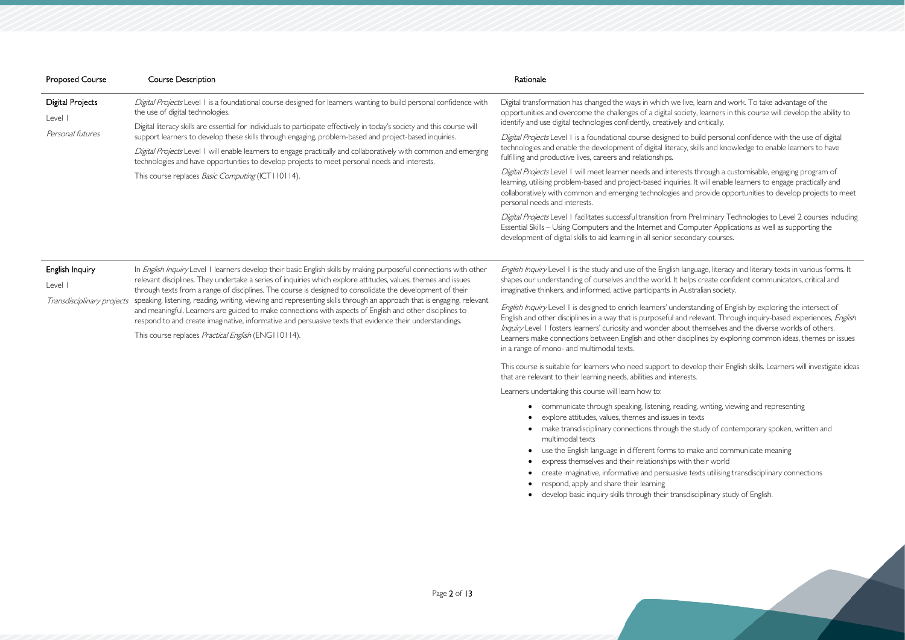ive, learn and work. To take advantage of the ciety, learners in this course will develop the ability to and critically.

to build personal confidence with the use of digital y, skills and knowledge to enable learners to have

sts through a customisable, engaging program of es. It will enable learners to engage practically and and provide opportunities to develop projects to meet

Preliminary Technologies to Level 2 courses including omputer Applications as well as supporting the ondary courses.

anguage, literacy and literary texts in various forms. It elps create confident communicators, critical and ustralian society.

english by exploring the intersect of I relevant. Through inquiry-based experiences, *English* ut themselves and the diverse worlds of others. sciplines by exploring common ideas, themes or issues

Ievelop their English skills. Learners will investigate ideas

ding, writing, viewing and representing he study of contemporary spoken, written and

| <b>Proposed Course</b>                                   | <b>Course Description</b>                                                                                                                                                                                                                                                                                                                                                                                                                                                                                                                                                                                                                                                                                                                               | Rationale                                                                                                                                                                                                                                                                                                                    |
|----------------------------------------------------------|---------------------------------------------------------------------------------------------------------------------------------------------------------------------------------------------------------------------------------------------------------------------------------------------------------------------------------------------------------------------------------------------------------------------------------------------------------------------------------------------------------------------------------------------------------------------------------------------------------------------------------------------------------------------------------------------------------------------------------------------------------|------------------------------------------------------------------------------------------------------------------------------------------------------------------------------------------------------------------------------------------------------------------------------------------------------------------------------|
| <b>Digital Projects</b><br>Level I                       | Digital Projects Level 1 is a foundational course designed for learners wanting to build personal confidence with<br>the use of digital technologies.                                                                                                                                                                                                                                                                                                                                                                                                                                                                                                                                                                                                   | Digital transformation has changed the ways in which we live, lea<br>opportunities and overcome the challenges of a digital society, le<br>identify and use digital technologies confidently, creatively and cr                                                                                                              |
| Personal futures                                         | Digital literacy skills are essential for individuals to participate effectively in today's society and this course will<br>support learners to develop these skills through engaging, problem-based and project-based inquiries.<br>Digital Projects Level 1 will enable learners to engage practically and collaboratively with common and emerging<br>technologies and have opportunities to develop projects to meet personal needs and interests.                                                                                                                                                                                                                                                                                                  | Digital Projects Level 1 is a foundational course designed to build<br>technologies and enable the development of digital literacy, skills<br>fulfilling and productive lives, careers and relationships.                                                                                                                    |
|                                                          | This course replaces <i>Basic Computing</i> (ICT110114).                                                                                                                                                                                                                                                                                                                                                                                                                                                                                                                                                                                                                                                                                                | Digital Projects Level 1 will meet learner needs and interests thr<br>learning, utilising problem-based and project-based inquiries. It w<br>collaboratively with common and emerging technologies and pro<br>personal needs and interests.                                                                                  |
|                                                          |                                                                                                                                                                                                                                                                                                                                                                                                                                                                                                                                                                                                                                                                                                                                                         | Digital Projects Level   facilitates successful transition from Preli<br>Essential Skills - Using Computers and the Internet and Comput<br>development of digital skills to aid learning in all senior secondar                                                                                                              |
| English Inquiry<br>Level I<br>Transdisciplinary projects | In English Inquiry Level 1 learners develop their basic English skills by making purposeful connections with other<br>relevant disciplines. They undertake a series of inquiries which explore attitudes, values, themes and issues<br>through texts from a range of disciplines. The course is designed to consolidate the development of their<br>speaking, listening, reading, writing, viewing and representing skills through an approach that is engaging, relevant<br>and meaningful. Learners are guided to make connections with aspects of English and other disciplines to<br>respond to and create imaginative, informative and persuasive texts that evidence their understandings.<br>This course replaces Practical English (ENG110114). | English Inquiry Level 1 is the study and use of the English languag<br>shapes our understanding of ourselves and the world. It helps cr<br>imaginative thinkers, and informed, active participants in Australi                                                                                                               |
|                                                          |                                                                                                                                                                                                                                                                                                                                                                                                                                                                                                                                                                                                                                                                                                                                                         | English Inquiry Level I is designed to enrich learners' understand<br>English and other disciplines in a way that is purposeful and relev<br>Inquiry Level 1 fosters learners' curiosity and wonder about the<br>Learners make connections between English and other discipline<br>in a range of mono- and multimodal texts. |
|                                                          |                                                                                                                                                                                                                                                                                                                                                                                                                                                                                                                                                                                                                                                                                                                                                         | This course is suitable for learners who need support to develop<br>that are relevant to their learning needs, abilities and interests.                                                                                                                                                                                      |
|                                                          |                                                                                                                                                                                                                                                                                                                                                                                                                                                                                                                                                                                                                                                                                                                                                         | Learners undertaking this course will learn how to:                                                                                                                                                                                                                                                                          |
|                                                          |                                                                                                                                                                                                                                                                                                                                                                                                                                                                                                                                                                                                                                                                                                                                                         | communicate through speaking, listening, reading, v<br>explore attitudes, values, themes and issues in texts<br>make transdisciplinary connections through the stud<br>multimodal texts<br>use the English language in different forms to make                                                                               |

 $\omega$  make and communicate meaning • express themselves and their relationships with their world • create imaginative, informative and persuasive texts utilising transdisciplinary connections

- 
- 
- respond, apply and share their learning
- develop basic inquiry skills through their transdisciplinary study of English.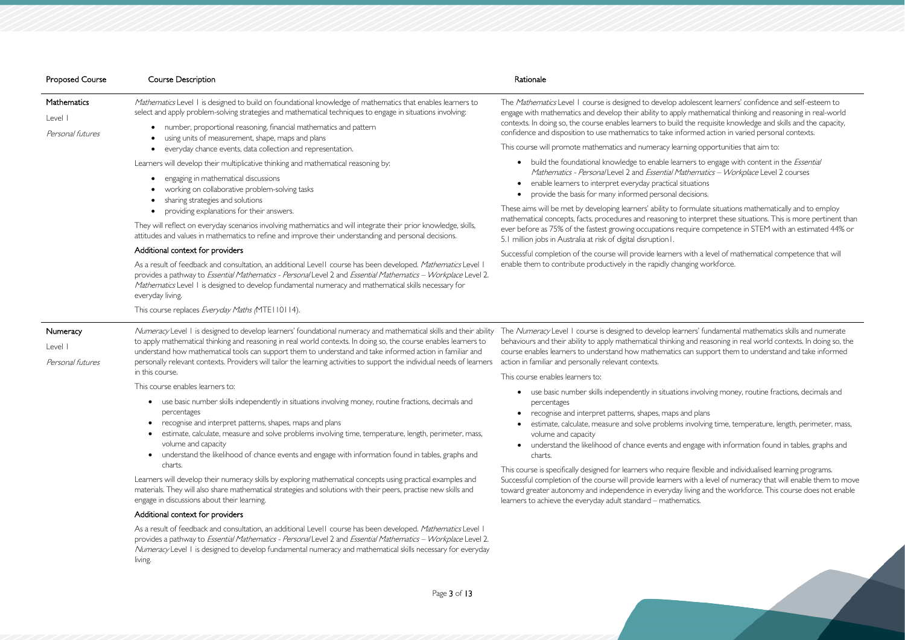scent learners' confidence and self-esteem to athematical thinking and reasoning in real-world requisite knowledge and skills and the capacity, ned action in varied personal contexts.

proportunities that aim to:

to engage with content in the *Essential* matics - *Workplace* Level 2 courses

ulate situations mathematically and to employ terpret these situations. This is more pertinent than e competence in STEM with an estimated 44% or

a level of mathematical competence that will g workforce.

s' fundamental mathematics skills and numerate I reasoning in real world contexts. In doing so, the support them to understand and take informed

volving money, routine fractions, decimals and

blving time, temperature, length, perimeter, mass,

age with information found in tables, graphs and

exible and individualised learning programs. i a level of numeracy that will enable them to move ig and the workforce. This course does not enable

As a result of feedback and consultation, an additional Level1 course has been developed. *Mathematics* Level 1 provides a pathway to Essential Mathematics - Personal Level 2 and Essential Mathematics – Workplace Level 2. Numeracy Level 1 is designed to develop fundamental numeracy and mathematical skills necessary for everyday living.

| <b>Proposed Course</b>                  | <b>Course Description</b>                                                                                                                                                                                                                                                                                                                                                                                                                                                     | Rationale                                                                                                                                                                                                                                                                                                                                                                                                                  |
|-----------------------------------------|-------------------------------------------------------------------------------------------------------------------------------------------------------------------------------------------------------------------------------------------------------------------------------------------------------------------------------------------------------------------------------------------------------------------------------------------------------------------------------|----------------------------------------------------------------------------------------------------------------------------------------------------------------------------------------------------------------------------------------------------------------------------------------------------------------------------------------------------------------------------------------------------------------------------|
| Mathematics<br>Level I                  | Mathematics Level 1 is designed to build on foundational knowledge of mathematics that enables learners to<br>select and apply problem-solving strategies and mathematical techniques to engage in situations involving:                                                                                                                                                                                                                                                      | The Mathematics Level 1 course is designed to develop adolescer<br>engage with mathematics and develop their ability to apply mather                                                                                                                                                                                                                                                                                       |
| Personal futures                        | number, proportional reasoning, financial mathematics and pattern<br>using units of measurement, shape, maps and plans                                                                                                                                                                                                                                                                                                                                                        | contexts. In doing so, the course enables learners to build the requ<br>confidence and disposition to use mathematics to take informed a                                                                                                                                                                                                                                                                                   |
|                                         | everyday chance events, data collection and representation.                                                                                                                                                                                                                                                                                                                                                                                                                   | This course will promote mathematics and numeracy learning opp                                                                                                                                                                                                                                                                                                                                                             |
|                                         | Learners will develop their multiplicative thinking and mathematical reasoning by:<br>engaging in mathematical discussions<br>working on collaborative problem-solving tasks<br>sharing strategies and solutions                                                                                                                                                                                                                                                              | build the foundational knowledge to enable learners to e<br>Mathematics - Personal Level 2 and Essential Mathemati<br>enable learners to interpret everyday practical situations<br>provide the basis for many informed personal decisions.                                                                                                                                                                                |
|                                         | providing explanations for their answers.<br>They will reflect on everyday scenarios involving mathematics and will integrate their prior knowledge, skills,<br>attitudes and values in mathematics to refine and improve their understanding and personal decisions.                                                                                                                                                                                                         | These aims will be met by developing learners' ability to formulate<br>mathematical concepts, facts, procedures and reasoning to interpr<br>ever before as 75% of the fastest growing occupations require co<br>5.1 million jobs in Australia at risk of digital disruption I.<br>Successful completion of the course will provide learners with a le<br>enable them to contribute productively in the rapidly changing wo |
|                                         | Additional context for providers                                                                                                                                                                                                                                                                                                                                                                                                                                              |                                                                                                                                                                                                                                                                                                                                                                                                                            |
|                                         | As a result of feedback and consultation, an additional Level I course has been developed. Mathematics Level I<br>provides a pathway to Essential Mathematics - Personal Level 2 and Essential Mathematics - Workplace Level 2.<br>Mathematics Level I is designed to develop fundamental numeracy and mathematical skills necessary for<br>everyday living.                                                                                                                  |                                                                                                                                                                                                                                                                                                                                                                                                                            |
|                                         | This course replaces Everyday Maths (MTE110114).                                                                                                                                                                                                                                                                                                                                                                                                                              |                                                                                                                                                                                                                                                                                                                                                                                                                            |
| Numeracy<br>Level I<br>Personal futures | Numeracy Level 1 is designed to develop learners' foundational numeracy and mathematical skills and their ability<br>to apply mathematical thinking and reasoning in real world contexts. In doing so, the course enables learners to<br>understand how mathematical tools can support them to understand and take informed action in familiar and<br>personally relevant contexts. Providers will tailor the learning activities to support the individual needs of learners | The Numeracy Level I course is designed to develop learners' fur<br>behaviours and their ability to apply mathematical thinking and rea<br>course enables learners to understand how mathematics can supp<br>action in familiar and personally relevant contexts.                                                                                                                                                          |
|                                         | in this course.                                                                                                                                                                                                                                                                                                                                                                                                                                                               | This course enables learners to:                                                                                                                                                                                                                                                                                                                                                                                           |
|                                         | This course enables learners to:<br>• use basic number skills independently in situations involving money, routine fractions, decimals and<br>percentages<br>recognise and interpret patterns, shapes, maps and plans<br>estimate, calculate, measure and solve problems involving time, temperature, length, perimeter, mass,<br>volume and capacity<br>understand the likelihood of chance events and engage with information found in tables, graphs and                   | use basic number skills independently in situations involv<br>percentages<br>recognise and interpret patterns, shapes, maps and plans<br>estimate, calculate, measure and solve problems involvin<br>volume and capacity<br>understand the likelihood of chance events and engage v<br>charts.                                                                                                                             |
|                                         | charts.<br>Learners will develop their numeracy skills by exploring mathematical concepts using practical examples and<br>materials. They will also share mathematical strategies and solutions with their peers, practise new skills and<br>engage in discussions about their learning.                                                                                                                                                                                      | This course is specifically designed for learners who require flexib<br>Successful completion of the course will provide learners with a le<br>toward greater autonomy and independence in everyday living an<br>learners to achieve the everyday adult standard - mathematics.                                                                                                                                            |
|                                         | Additional context for providers                                                                                                                                                                                                                                                                                                                                                                                                                                              |                                                                                                                                                                                                                                                                                                                                                                                                                            |
|                                         | As a result of feedback and consultation an additional Level L course has been developed <i>Mathematics</i> Level I                                                                                                                                                                                                                                                                                                                                                           |                                                                                                                                                                                                                                                                                                                                                                                                                            |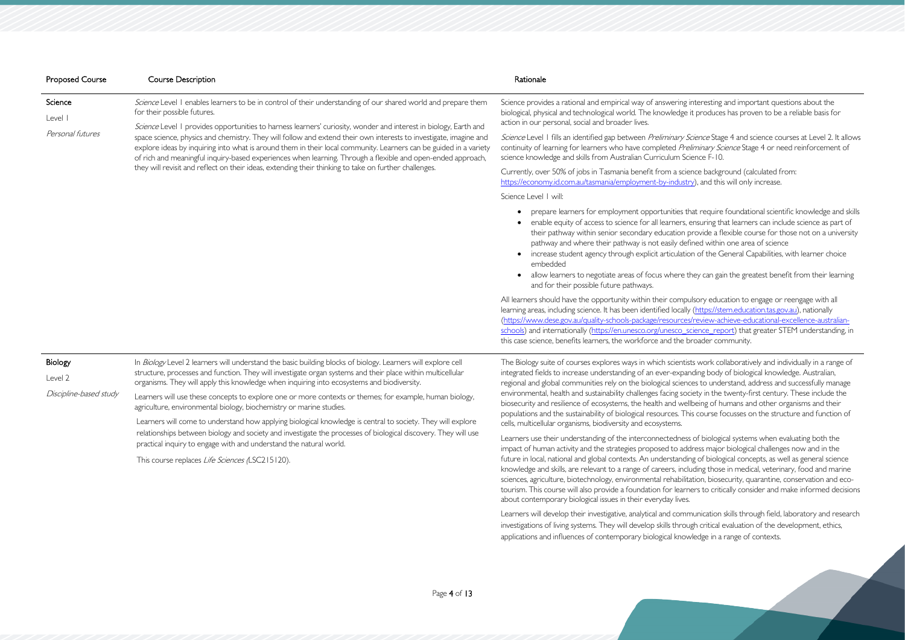steresting and important questions about the produces has proven to be a reliable basis for

Science Stage 4 and science courses at Level 2. It allows minary Science Stage 4 or need reinforcement of snce F-10.

ce background (calculated from:  $\alpha$ ), and this will only increase.

at require foundational scientific knowledge and skills nsuring that learners can include science as part of tovide a flexible course for those not on a university hed within one area of science

of the General Capabilities, with learner choice

ey can gain the greatest benefit from their learning

sory education to engage or reengage with all [\(https://stem.education.tas.gov.au\)](https://stem.education.tas.gov.au/), nationally review-achieve-educational-excellence-australianience report) that greater STEM understanding, in toader community.

work collaboratively and individually in a range of ding body of biological knowledge. Australian, es to understand, address and successfully manage ety in the twenty-first century. These include the being of humans and other organisms and their populations and the sustainability of course focusses on the structure and function of

| <b>Proposed Course</b>                       | <b>Course Description</b>                                                                                                                                                                                                                                                                                                                                                                                                                                                                                                                                                                                                                                                                                                                                                                                          | Rationale                                                                                                                                                                                                                                                                                                                                                                                                                                                                                                                                                                                                                                                                                                                                                                                                                                                                                                                                                                                                                                                                                                                                                                |
|----------------------------------------------|--------------------------------------------------------------------------------------------------------------------------------------------------------------------------------------------------------------------------------------------------------------------------------------------------------------------------------------------------------------------------------------------------------------------------------------------------------------------------------------------------------------------------------------------------------------------------------------------------------------------------------------------------------------------------------------------------------------------------------------------------------------------------------------------------------------------|--------------------------------------------------------------------------------------------------------------------------------------------------------------------------------------------------------------------------------------------------------------------------------------------------------------------------------------------------------------------------------------------------------------------------------------------------------------------------------------------------------------------------------------------------------------------------------------------------------------------------------------------------------------------------------------------------------------------------------------------------------------------------------------------------------------------------------------------------------------------------------------------------------------------------------------------------------------------------------------------------------------------------------------------------------------------------------------------------------------------------------------------------------------------------|
| Science<br>Level I<br>Personal futures       | Science Level I enables learners to be in control of their understanding of our shared world and prepare them<br>for their possible futures.<br>Science Level 1 provides opportunities to harness learners' curiosity, wonder and interest in biology, Earth and<br>space science, physics and chemistry. They will follow and extend their own interests to investigate, imagine and<br>explore ideas by inquiring into what is around them in their local community. Learners can be guided in a variety<br>of rich and meaningful inquiry-based experiences when learning. Through a flexible and open-ended approach,<br>they will revisit and reflect on their ideas, extending their thinking to take on further challenges.                                                                                 | Science provides a rational and empirical way of answering in<br>biological, physical and technological world. The knowledge it<br>action in our personal, social and broader lives.<br>Science Level 1 fills an identified gap between Preliminary Sci<br>continuity of learning for learners who have completed Prelin<br>science knowledge and skills from Australian Curriculum Scie<br>Currently, over 50% of jobs in Tasmania benefit from a scien<br>https://economy.id.com.au/tasmania/employment-by-industry<br>Science Level   will:<br>prepare learners for employment opportunities tha<br>enable equity of access to science for all learners, er<br>their pathway within senior secondary education pr<br>pathway and where their pathway is not easily defin<br>increase student agency through explicit articulation<br>$\bullet$<br>embedded<br>allow learners to negotiate areas of focus where the<br>and for their possible future pathways.<br>All learners should have the opportunity within their compuls<br>learning areas, including science. It has been identified locally (<br>(https://www.dese.gov.au/quality-schools-package/resources/r |
| Biology<br>Level 2<br>Discipline-based study | In Biology Level 2 learners will understand the basic building blocks of biology. Learners will explore cell<br>structure, processes and function. They will investigate organ systems and their place within multicellular<br>organisms. They will apply this knowledge when inquiring into ecosystems and biodiversity.<br>Learners will use these concepts to explore one or more contexts or themes; for example, human biology,<br>agriculture, environmental biology, biochemistry or marine studies.<br>Learners will come to understand how applying biological knowledge is central to society. They will explore<br>relationships between biology and society and investigate the processes of biological discovery. They will use<br>practical inquiry to engage with and understand the natural world. | schools) and internationally (https://en.unesco.org/unesco_sci<br>this case science, benefits learners, the workforce and the bro<br>The Biology suite of courses explores ways in which scientists<br>integrated fields to increase understanding of an ever-expand<br>regional and global communities rely on the biological science<br>environmental, health and sustainability challenges facing socie<br>biosecurity and resilience of ecosystems, the health and wellb<br>populations and the sustainability of biological resources. This<br>cells, multicellular organisms, biodiversity and ecosystems.<br>Learners use their understanding of the interconnectedness o                                                                                                                                                                                                                                                                                                                                                                                                                                                                                         |

This course replaces Life Sciences (LSC215120).

Learners use their understanding of the interconnectedness of biological systems when evaluating both the impact of human activity and the strategies proposed to address major biological challenges now and in the future in local, national and global contexts. An understanding of biological concepts, as well as general science knowledge and skills, are relevant to a range of careers, including those in medical, veterinary, food and marine sciences, agriculture, biotechnology, environmental rehabilitation, biosecurity, quarantine, conservation and ecotourism. This course will also provide a foundation for learners to critically consider and make informed decisions about contemporary biological issues in their everyday lives.

Learners will develop their investigative, analytical and communication skills through field, laboratory and research investigations of living systems. They will develop skills through critical evaluation of the development, ethics, applications and influences of contemporary biological knowledge in a range of contexts.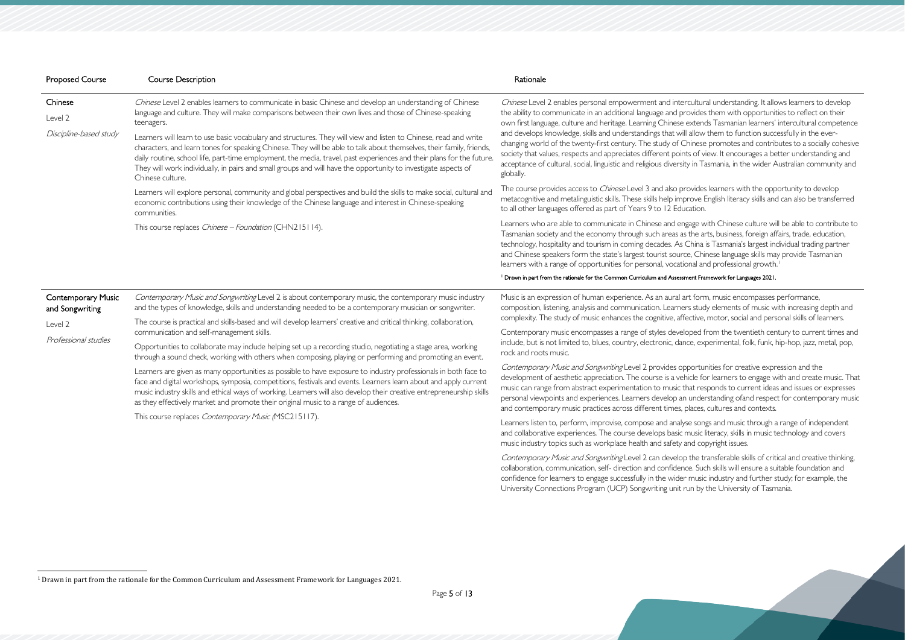| <b>Proposed Course</b>    | <b>Course Description</b>                                                                                                                                                                                                                                                                                                                                                                                                                                                                               | Rationale                                                                                                                                                                                                                                                                                                                                                                                                                                                                                                                                                                                      |
|---------------------------|---------------------------------------------------------------------------------------------------------------------------------------------------------------------------------------------------------------------------------------------------------------------------------------------------------------------------------------------------------------------------------------------------------------------------------------------------------------------------------------------------------|------------------------------------------------------------------------------------------------------------------------------------------------------------------------------------------------------------------------------------------------------------------------------------------------------------------------------------------------------------------------------------------------------------------------------------------------------------------------------------------------------------------------------------------------------------------------------------------------|
| Chinese<br>Level 2        | Chinese Level 2 enables learners to communicate in basic Chinese and develop an understanding of Chinese<br>language and culture. They will make comparisons between their own lives and those of Chinese-speaking<br>teenagers.                                                                                                                                                                                                                                                                        | Chinese Level 2 enables personal empowerment and intercultural understanding. It alloy<br>the ability to communicate in an additional language and provides them with opportuniti<br>own first language, culture and heritage. Learning Chinese extends Tasmanian learners' i                                                                                                                                                                                                                                                                                                                  |
| Discipline-based study    | Learners will learn to use basic vocabulary and structures. They will view and listen to Chinese, read and write<br>characters, and learn tones for speaking Chinese. They will be able to talk about themselves, their family, friends,<br>daily routine, school life, part-time employment, the media, travel, past experiences and their plans for the future.<br>They will work individually, in pairs and small groups and will have the opportunity to investigate aspects of<br>Chinese culture. | and develops knowledge, skills and understandings that will allow them to function succe<br>changing world of the twenty-first century. The study of Chinese promotes and contrib<br>society that values, respects and appreciates different points of view. It encourages a bet<br>acceptance of cultural, social, linguistic and religious diversity in Tasmania, in the wider Ar<br>globally.                                                                                                                                                                                               |
|                           | Learners will explore personal, community and global perspectives and build the skills to make social, cultural and<br>economic contributions using their knowledge of the Chinese language and interest in Chinese-speaking<br>communities.                                                                                                                                                                                                                                                            | The course provides access to <i>Chinese</i> Level 3 and also provides learners with the oppo<br>metacognitive and metalinguistic skills. These skills help improve English literacy skills and<br>to all other languages offered as part of Years 9 to 12 Education.                                                                                                                                                                                                                                                                                                                          |
|                           | This course replaces <i>Chinese - Foundation</i> (CHN215114).                                                                                                                                                                                                                                                                                                                                                                                                                                           | Learners who are able to communicate in Chinese and engage with Chinese culture will<br>Tasmanian society and the economy through such areas as the arts, business, foreign affa<br>technology, hospitality and tourism in coming decades. As China is Tasmania's largest ind<br>and Chinese speakers form the state's largest tourist source, Chinese language skills may<br>learners with a range of opportunities for personal, vocational and professional growth.<br><sup>1</sup> Drawn in part from the rationale for the Common Curriculum and Assessment Framework for Languages 2021. |
| <b>Contemporary Music</b> | Contemporary Music and Songwriting Level 2 is about contemporary music, the contemporary music industry                                                                                                                                                                                                                                                                                                                                                                                                 | Music is an expression of human experience. As an aural art form, music encompasses p                                                                                                                                                                                                                                                                                                                                                                                                                                                                                                          |
| and Songwriting           | and the types of knowledge, skills and understanding needed to be a contemporary musician or songwriter.                                                                                                                                                                                                                                                                                                                                                                                                | composition, listening, analysis and communication. Learners study elements of music wi                                                                                                                                                                                                                                                                                                                                                                                                                                                                                                        |
| Level 2                   | The course is practical and skills-based and will develop learners' creative and critical thinking, collaboration,<br>communication and self-management skills.                                                                                                                                                                                                                                                                                                                                         | complexity. The study of music enhances the cognitive, affective, motor, social and perso<br>Contemporary music encompasses a range of styles developed from the twentieth cent                                                                                                                                                                                                                                                                                                                                                                                                                |
| Professional studies      | Opportunities to collaborate may include helping set up a recording studio, negotiating a stage area, working<br>through a sound check, working with others when composing, playing or performing and promoting an event.                                                                                                                                                                                                                                                                               | include, but is not limited to, blues, country, electronic, dance, experimental, folk, funk, h<br>rock and roots music.                                                                                                                                                                                                                                                                                                                                                                                                                                                                        |
|                           | Learners are given as many opportunities as possible to have exposure to industry professionals in both face to<br>face and digital workshops, symposia, competitions, festivals and events. Learners learn about and apply current<br>music industry skills and ethical ways of working. Learners will also develop their creative entrepreneurship skills<br>as they effectively market and promote their original music to a range of audiences.                                                     | Contemporary Music and Songwriting Level 2 provides opportunities for creative expre<br>development of aesthetic appreciation. The course is a vehicle for learners to engage wi<br>music can range from abstract experimentation to music that responds to current ideas<br>personal viewpoints and experiences. Learners develop an understanding ofand respect<br>and contemporary music practices across different times, places, cultures and contexts.                                                                                                                                   |
|                           | This course replaces Contemporary Music (MSC215117).                                                                                                                                                                                                                                                                                                                                                                                                                                                    | Learners listen to, perform, improvise, compose and analyse songs and music through a<br>and collaborative experiences. The course develops basic music literacy, skills in music te                                                                                                                                                                                                                                                                                                                                                                                                           |

music industry topics such as workplace health and safety and copyright issues. Contemporary Music and Songwriting Level 2 can develop the transferable skills of critical and creative thinking, collaboration, communication, self- direction and confidence. Such skills will ensure a suitable foundation and

<span id="page-4-0"></span>cultural understanding. It allows learners to develop ovides them with opportunities to reflect on their extends Tasmanian learners' intercultural competence allow them to function successfully in the everhinese promotes and contributes to a socially cohesive ts of view. It encourages a better understanding and y in Tasmania, in the wider Australian community and

tovides learners with the opportunity to develop rove English literacy skills and can also be transferred

gage with Chinese culture will be able to contribute to the arts, business, foreign affairs, trade, education, China is Tasmania's largest individual trading partner e, Chinese language skills may provide Tasmanian

#### nent Framework for Languages 2021.

t form, music encompasses performance, rs study elements of music with increasing depth and ective, motor, social and personal skills of learners.

oped from the twentieth century to current times and ce, experimental, folk, funk, hip-hop, jazz, metal, pop,

portunities for creative expression and the icle for learners to engage with and create music. That nat responds to current ideas and issues or expresses understanding ofand respect for contemporary music and contexts and contexts.

se songs and music through a range of independent music literacy, skills in music technology and covers

confidence for learners to engage successfully in the wider music industry and further study; for example, the University Connections Program (UCP) Songwriting unit run by the University of Tasmania.

<sup>1</sup> Drawn in part from the rationale for the Common Curriculum and Assessment Framework for Languages 2021.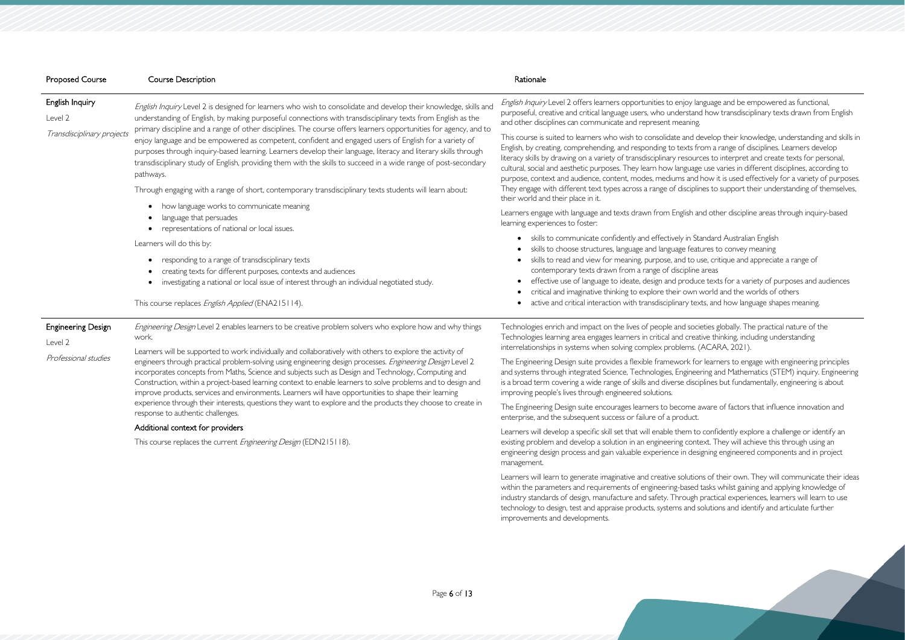| <b>Proposed Course</b>                                       | <b>Course Description</b>                                                                                                                                                                                                                                                                                                                                                                                                                                                                                                                                                              | Rationale                                                                                                                                                                                                                                                                                                                                                                                                                                              |
|--------------------------------------------------------------|----------------------------------------------------------------------------------------------------------------------------------------------------------------------------------------------------------------------------------------------------------------------------------------------------------------------------------------------------------------------------------------------------------------------------------------------------------------------------------------------------------------------------------------------------------------------------------------|--------------------------------------------------------------------------------------------------------------------------------------------------------------------------------------------------------------------------------------------------------------------------------------------------------------------------------------------------------------------------------------------------------------------------------------------------------|
| English Inquiry<br>Level 2                                   | English Inquiry Level 2 is designed for learners who wish to consolidate and develop their knowledge, skills and<br>understanding of English, by making purposeful connections with transdisciplinary texts from English as the                                                                                                                                                                                                                                                                                                                                                        | English Inquiry Level 2 offers learners opportunities to enjoy la<br>purposeful, creative and critical language users, who understand<br>and other disciplines can communicate and represent meaning                                                                                                                                                                                                                                                   |
| Transdisciplinary projects                                   | primary discipline and a range of other disciplines. The course offers learners opportunities for agency, and to<br>enjoy language and be empowered as competent, confident and engaged users of English for a variety of<br>purposes through inquiry-based learning. Learners develop their language, literacy and literary skills through<br>transdisciplinary study of English, providing them with the skills to succeed in a wide range of post-secondary<br>pathways.<br>Through engaging with a range of short, contemporary transdisciplinary texts students will learn about: | This course is suited to learners who wish to consolidate and d<br>English, by creating, comprehending, and responding to texts fr<br>literacy skills by drawing on a variety of transdisciplinary resour<br>cultural, social and aesthetic purposes. They learn how language<br>purpose, context and audience, content, modes, mediums and<br>They engage with different text types across a range of disciplir<br>their world and their place in it. |
|                                                              | how language works to communicate meaning<br>$\bullet$<br>language that persuades<br>representations of national or local issues.                                                                                                                                                                                                                                                                                                                                                                                                                                                      | Learners engage with language and texts drawn from English a<br>learning experiences to foster:                                                                                                                                                                                                                                                                                                                                                        |
|                                                              | Learners will do this by:<br>responding to a range of transdisciplinary texts<br>creating texts for different purposes, contexts and audiences<br>investigating a national or local issue of interest through an individual negotiated study.<br>$\bullet$<br>This course replaces English Applied (ENA215114).                                                                                                                                                                                                                                                                        | • skills to communicate confidently and effectively in St<br>skills to choose structures, language and language feat<br>skills to read and view for meaning, purpose, and to u<br>contemporary texts drawn from a range of discipline<br>effective use of language to ideate, design and produc<br>critical and imaginative thinking to explore their own<br>active and critical interaction with transdisciplinary tex                                |
| <b>Engineering Design</b><br>Level 2<br>Professional studies | Engineering Design Level 2 enables learners to be creative problem solvers who explore how and why things<br>work.<br>Learners will be supported to work individually and collaboratively with others to explore the activity of<br>engineers through practical problem-solving using engineering design processes. Engineering Design Level 2<br>incorporates concepts from Maths, Science and subjects such as Design and Technology, Computing and<br>Construction, within a project-based learning context to enable learners to solve problems and to design and                  | Technologies enrich and impact on the lives of people and soci<br>Technologies learning area engages learners in critical and creat<br>interrelationships in systems when solving complex problems.<br>The Engineering Design suite provides a flexible framework fo<br>and systems through integrated Science, Technologies, Enginee<br>is a broad term covering a wide range of skills and diverse disci                                             |
|                                                              | improve products, services and environments. Learners will have opportunities to shape their learning<br>experience through their interests, questions they want to explore and the products they choose to create in<br>response to authentic challenges.<br>Additional context for providers                                                                                                                                                                                                                                                                                         | improving people's lives through engineered solutions.<br>The Engineering Design suite encourages learners to become a<br>enterprise, and the subsequent success or failure of a product.                                                                                                                                                                                                                                                              |
|                                                              |                                                                                                                                                                                                                                                                                                                                                                                                                                                                                                                                                                                        | Learners will develop a specific skill set that will enable them to                                                                                                                                                                                                                                                                                                                                                                                    |

This course replaces the current *Engineering Design* (EDN215118).

em to confidently explore a challenge or identify an existing problem and develop a solution in an engineering context. They will achieve this through using an engineering design process and gain valuable experience in designing engineered components and in project

management.

oy language and be empowered as functional, rstand how transdisciplinary texts drawn from English

and develop their knowledge, understanding and skills in english, by creations, and responding to the responding to text from a range of disciplines. Learners develop isources to interpret and create texts for personal, guage use varies in different disciplines, according to and how it is used effectively for a variety of purposes. sciplines to support their understanding of themselves,

lish and other discipline areas through inquiry-based

- in Standard Australian English
- efeatures to convey meaning
- I to use, critique and appreciate a range of
- pline areas
- roduce texts for a variety of purposes and audiences
- own world and the worlds of others
- $\gamma$  texts, and how language shapes meaning.

I societies globally. The practical nature of the creative thinking, including understanding ems. (ACARA, 2021).

rk for learners to engage with engineering principles gineering and Mathematics (STEM) inquiry. Engineering disciplines but fundamentally, engineering is about

ome aware of factors that influence innovation and

Learners will learn to generate imaginative and creative solutions of their own. They will communicate their ideas within the parameters and requirements of engineering-based tasks whilst gaining and applying knowledge of industry standards of design, manufacture and safety. Through practical experiences, learners will learn to use technology to design, test and appraise products, systems and solutions and identify and articulate further improvements and developments.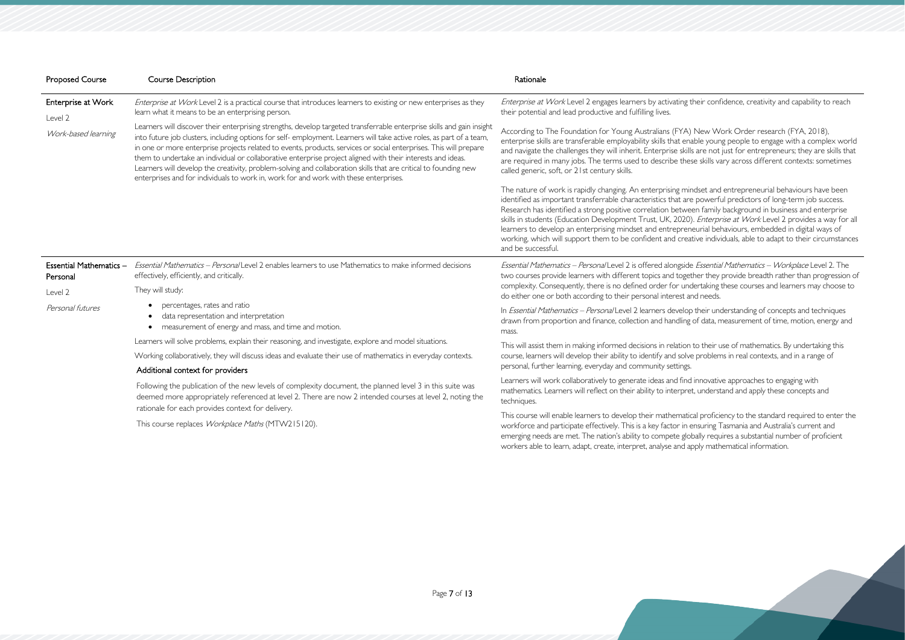their confidence, creativity and capability to reach

A) New Work Order research (FYA, 2018), nable young people to engage with a complex world ills are not just for entrepreneurs; they are skills that ese skills vary across different contexts: sometimes

nindset and entrepreneurial behaviours have been re powerful predictors of long-term job success. een family background in business and enterprise 0). *Enterprise at Work* Level 2 provides a way for all eneurial behaviours, embedded in digital ways of eative individuals, able to adapt to their circumstances

de *Essential Mathematics – Workplace* Level 2. The ether they provide breadth rather than progression of ndertaking these courses and learners may choose to and needs.

pp their understanding of concepts and techniques ig of data, measurement of time, motion, energy and

In to their use of mathematics. By undertaking this ve problems in real contexts, and in a range of

d innovative approaches to engaging with ret, understand and apply these concepts and

| <b>Proposed Course</b>              | <b>Course Description</b>                                                                                                                                                                                                                                                                                                                                                                                                                                                                                                                                                                                                                                                                       | Rationale                                                                                                                                                                                                                                                                                                                                                                                                  |
|-------------------------------------|-------------------------------------------------------------------------------------------------------------------------------------------------------------------------------------------------------------------------------------------------------------------------------------------------------------------------------------------------------------------------------------------------------------------------------------------------------------------------------------------------------------------------------------------------------------------------------------------------------------------------------------------------------------------------------------------------|------------------------------------------------------------------------------------------------------------------------------------------------------------------------------------------------------------------------------------------------------------------------------------------------------------------------------------------------------------------------------------------------------------|
| Enterprise at Work<br>Level 2       | Enterprise at Work Level 2 is a practical course that introduces learners to existing or new enterprises as they<br>learn what it means to be an enterprising person.                                                                                                                                                                                                                                                                                                                                                                                                                                                                                                                           | Enterprise at Work Level 2 engages learners by activating 1<br>their potential and lead productive and fulfilling lives.                                                                                                                                                                                                                                                                                   |
| Work-based learning                 | Learners will discover their enterprising strengths, develop targeted transferrable enterprise skills and gain insight<br>into future job clusters, including options for self-employment. Learners will take active roles, as part of a team,<br>in one or more enterprise projects related to events, products, services or social enterprises. This will prepare<br>them to undertake an individual or collaborative enterprise project aligned with their interests and ideas.<br>Learners will develop the creativity, problem-solving and collaboration skills that are critical to founding new<br>enterprises and for individuals to work in, work for and work with these enterprises. | According to The Foundation for Young Australians (FYA)<br>enterprise skills are transferable employability skills that en<br>and navigate the challenges they will inherit. Enterprise skill<br>are required in many jobs. The terms used to describe the<br>called generic, soft, or 21st century skills.                                                                                                |
|                                     |                                                                                                                                                                                                                                                                                                                                                                                                                                                                                                                                                                                                                                                                                                 | The nature of work is rapidly changing. An enterprising mir<br>identified as important transferrable characteristics that are<br>Research has identified a strong positive correlation betwe<br>skills in students (Education Development Trust, UK, 2020)<br>learners to develop an enterprising mindset and entrepren<br>working, which will support them to be confident and crea<br>and be successful. |
| Essential Mathematics -<br>Personal | Essential Mathematics - Personal Level 2 enables learners to use Mathematics to make informed decisions<br>effectively, efficiently, and critically.                                                                                                                                                                                                                                                                                                                                                                                                                                                                                                                                            | Essential Mathematics - Personal Level 2 is offered alongside<br>two courses provide learners with different topics and toge                                                                                                                                                                                                                                                                               |
| Level 2                             | They will study:                                                                                                                                                                                                                                                                                                                                                                                                                                                                                                                                                                                                                                                                                | complexity. Consequently, there is no defined order for und<br>do either one or both according to their personal interest a                                                                                                                                                                                                                                                                                |
| Personal futures                    | percentages, rates and ratio<br>data representation and interpretation<br>measurement of energy and mass, and time and motion.                                                                                                                                                                                                                                                                                                                                                                                                                                                                                                                                                                  | In Essential Mathematics - Personal Level 2 learners develop<br>drawn from proportion and finance, collection and handling<br>mass.                                                                                                                                                                                                                                                                        |
|                                     | Learners will solve problems, explain their reasoning, and investigate, explore and model situations.                                                                                                                                                                                                                                                                                                                                                                                                                                                                                                                                                                                           | This will assist them in making informed decisions in relation                                                                                                                                                                                                                                                                                                                                             |
|                                     | Working collaboratively, they will discuss ideas and evaluate their use of mathematics in everyday contexts.                                                                                                                                                                                                                                                                                                                                                                                                                                                                                                                                                                                    | course, learners will develop their ability to identify and solve                                                                                                                                                                                                                                                                                                                                          |
|                                     | Additional context for providers                                                                                                                                                                                                                                                                                                                                                                                                                                                                                                                                                                                                                                                                | personal, further learning, everyday and community settings.                                                                                                                                                                                                                                                                                                                                               |
|                                     | Following the publication of the new levels of complexity document, the planned level 3 in this suite was<br>deemed more appropriately referenced at level 2. There are now 2 intended courses at level 2, noting the                                                                                                                                                                                                                                                                                                                                                                                                                                                                           | Learners will work collaboratively to generate ideas and finc<br>mathematics. Learners will reflect on their ability to interpre<br>techniques.                                                                                                                                                                                                                                                            |
|                                     | rationale for each provides context for delivery.                                                                                                                                                                                                                                                                                                                                                                                                                                                                                                                                                                                                                                               | This course will enable learners to develop their mathematic                                                                                                                                                                                                                                                                                                                                               |

This course replaces Workplace Maths (MTW215120).

This course will enable learners to develop their mathematical proficiency to the standard required to enter the workforce and participate effectively. This is a key factor in ensuring Tasmania and Australia's current and emerging needs are met. The nation's ability to compete globally requires a substantial number of proficient workers able to learn, adapt, create, interpret, analyse and apply mathematical information.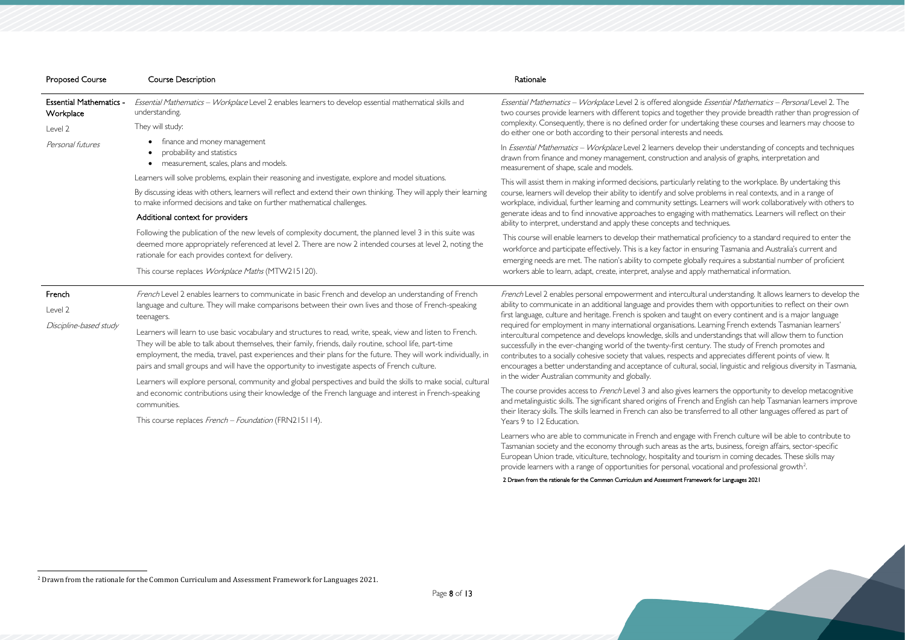| Essential Mathematics - Workplace Level 2 enables learners to develop essential mathematical skills and | Essential Mathematics - Workplace Level 2 is offered along                                                                                                                                                                                                                                                                                                                                                                                                                                                                                                                                                                                                                                                                                                                                                                                                                                                                                                                                                                                                                                                                                                                                                                                                                                                                                                                                                                                                                                                                                                                                                                                                                                                                                       |
|---------------------------------------------------------------------------------------------------------|--------------------------------------------------------------------------------------------------------------------------------------------------------------------------------------------------------------------------------------------------------------------------------------------------------------------------------------------------------------------------------------------------------------------------------------------------------------------------------------------------------------------------------------------------------------------------------------------------------------------------------------------------------------------------------------------------------------------------------------------------------------------------------------------------------------------------------------------------------------------------------------------------------------------------------------------------------------------------------------------------------------------------------------------------------------------------------------------------------------------------------------------------------------------------------------------------------------------------------------------------------------------------------------------------------------------------------------------------------------------------------------------------------------------------------------------------------------------------------------------------------------------------------------------------------------------------------------------------------------------------------------------------------------------------------------------------------------------------------------------------|
|                                                                                                         | two courses provide learners with different topics and toge<br>complexity. Consequently, there is no defined order for un<br>do either one or both according to their personal interests                                                                                                                                                                                                                                                                                                                                                                                                                                                                                                                                                                                                                                                                                                                                                                                                                                                                                                                                                                                                                                                                                                                                                                                                                                                                                                                                                                                                                                                                                                                                                         |
|                                                                                                         | In Essential Mathematics - Workplace Level 2 learners deve<br>drawn from finance and money management, construction<br>measurement of shape, scale and models.<br>This will assist them in making informed decisions, particular<br>course, learners will develop their ability to identify and solv<br>workplace, individual, further learning and community settir<br>generate ideas and to find innovative approaches to engagin<br>ability to interpret, understand and apply these concepts an<br>This course will enable learners to develop their mathemat<br>workforce and participate effectively. This is a key factor in<br>emerging needs are met. The nation's ability to compete gl<br>workers able to learn, adapt, create, interpret, analyse and                                                                                                                                                                                                                                                                                                                                                                                                                                                                                                                                                                                                                                                                                                                                                                                                                                                                                                                                                                                |
|                                                                                                         |                                                                                                                                                                                                                                                                                                                                                                                                                                                                                                                                                                                                                                                                                                                                                                                                                                                                                                                                                                                                                                                                                                                                                                                                                                                                                                                                                                                                                                                                                                                                                                                                                                                                                                                                                  |
|                                                                                                         |                                                                                                                                                                                                                                                                                                                                                                                                                                                                                                                                                                                                                                                                                                                                                                                                                                                                                                                                                                                                                                                                                                                                                                                                                                                                                                                                                                                                                                                                                                                                                                                                                                                                                                                                                  |
|                                                                                                         | French Level 2 enables personal empowerment and intercu<br>ability to communicate in an additional language and provide<br>first language, culture and heritage. French is spoken and tau<br>required for employment in many international organisation<br>intercultural competence and develops knowledge, skills and<br>successfully in the ever-changing world of the twenty-first c<br>contributes to a socially cohesive society that values, respect<br>encourages a better understanding and acceptance of cultur<br>in the wider Australian community and globally.<br>The course provides access to French Level 3 and also gives<br>and metalinguistic skills. The significant shared origins of Frei<br>their literacy skills. The skills learned in French can also be tr<br>Years 9 to 12 Education.<br>Learners who are able to communicate in French and engag                                                                                                                                                                                                                                                                                                                                                                                                                                                                                                                                                                                                                                                                                                                                                                                                                                                                    |
|                                                                                                         | finance and money management<br>probability and statistics<br>measurement, scales, plans and models.<br>Learners will solve problems, explain their reasoning and investigate, explore and model situations.<br>By discussing ideas with others, learners will reflect and extend their own thinking. They will apply their learning<br>to make informed decisions and take on further mathematical challenges.<br>Additional context for providers<br>Following the publication of the new levels of complexity document, the planned level 3 in this suite was<br>deemed more appropriately referenced at level 2. There are now 2 intended courses at level 2, noting the<br>rationale for each provides context for delivery.<br>This course replaces Workplace Maths (MTW215120).<br>French Level 2 enables learners to communicate in basic French and develop an understanding of French<br>language and culture. They will make comparisons between their own lives and those of French-speaking<br>Learners will learn to use basic vocabulary and structures to read, write, speak, view and listen to French.<br>They will be able to talk about themselves, their family, friends, daily routine, school life, part-time<br>employment, the media, travel, past experiences and their plans for the future. They will work individually, in<br>pairs and small groups and will have the opportunity to investigate aspects of French culture.<br>Learners will explore personal, community and global perspectives and build the skills to make social, cultural<br>and economic contributions using their knowledge of the French language and interest in French-speaking<br>This course replaces French - Foundation (FRN215114). |

age with French culture will be able to contribute to Tasmanian society and the economy through such areas as the arts, business, foreign affairs, sector-specific European Union trade, viticulture, technology, hospitality and tourism in coming decades. These skills may provide learners with a range of opportunities for personal, vocational and professional growth<sup>[2](#page-7-0)</sup>. .

### 2 Drawn from the rationale for the Common Curriculum and Assessment Framework for Languages 2021

<span id="page-7-0"></span>eside *Essential Mathematics – Personal* Level 2. The ether they provide breadth rather than progression of ndertaking these courses and learners may choose to and needs.

elop their understanding of concepts and techniques and analysis of graphs, interpretation and

rly relating to the workplace. By undertaking this ve problems in real contexts, and in a range of ngs. Learners will work collaboratively with others to ng with mathematics. Learners will reflect on their ad techniques.

tical proficiency to a standard required to enter the ensuring Tasmania and Australia's current and lobally requires a substantial number of proficient apply mathematical information.

ultural understanding. It allows learners to develop the les them with opportunities to reflect on their own ught on every continent and is a major language. ns. Learning French extends Tasmanian learners' id understandings that will allow them to function succentury. The study of French promotes and ts and appreciates different points of view. It ral, social, linguistic and religious diversity in Tasmania,

s learners the opportunity to develop metacognitive ench and English can help Tasmanian learners improve ransferred to all other languages offered as part of

<sup>2</sup> Drawn from the rationale for the Common Curriculum and Assessment Framework for Languages 2021.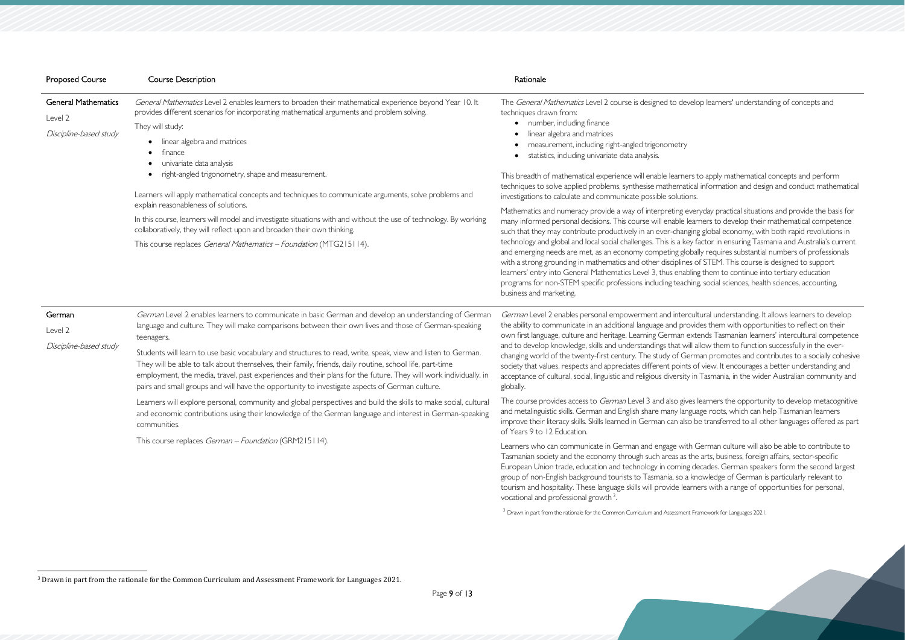| <b>Proposed Course</b>                                          | <b>Course Description</b>                                                                                                                                                                                                                                                                                                                                                                                                                                                                                                                                                                                                                                                                                                                                                                        | Rationale                                                                                                                                                                                                                                                                                                                                                                                                                                                                                                                                                                                                                                                                                                                                                                                                                                                                                                                                                                                                                           |
|-----------------------------------------------------------------|--------------------------------------------------------------------------------------------------------------------------------------------------------------------------------------------------------------------------------------------------------------------------------------------------------------------------------------------------------------------------------------------------------------------------------------------------------------------------------------------------------------------------------------------------------------------------------------------------------------------------------------------------------------------------------------------------------------------------------------------------------------------------------------------------|-------------------------------------------------------------------------------------------------------------------------------------------------------------------------------------------------------------------------------------------------------------------------------------------------------------------------------------------------------------------------------------------------------------------------------------------------------------------------------------------------------------------------------------------------------------------------------------------------------------------------------------------------------------------------------------------------------------------------------------------------------------------------------------------------------------------------------------------------------------------------------------------------------------------------------------------------------------------------------------------------------------------------------------|
| <b>General Mathematics</b><br>Level 2<br>Discipline-based study | General Mathematics Level 2 enables learners to broaden their mathematical experience beyond Year 10. It<br>provides different scenarios for incorporating mathematical arguments and problem solving.<br>They will study:<br>linear algebra and matrices<br>finance<br>univariate data analysis<br>right-angled trigonometry, shape and measurement.<br>Learners will apply mathematical concepts and techniques to communicate arguments, solve problems and<br>explain reasonableness of solutions.<br>In this course, learners will model and investigate situations with and without the use of technology. By working<br>collaboratively, they will reflect upon and broaden their own thinking.<br>This course replaces General Mathematics - Foundation (MTG215114).                     | The General Mathematics Level 2 course is designed to develo<br>techniques drawn from:<br>• number, including finance<br>linear algebra and matrices<br>measurement, including right-angled trigonometry<br>statistics, including univariate data analysis.<br>This breadth of mathematical experience will enable learners<br>techniques to solve applied problems, synthesise mathematica<br>investigations to calculate and communicate possible solutions.<br>Mathematics and numeracy provide a way of interpreting ever<br>many informed personal decisions. This course will enable lear<br>such that they may contribute productively in an ever-changin<br>technology and global and local social challenges. This is a key f<br>and emerging needs are met, as an economy competing globa<br>with a strong grounding in mathematics and other disciplines of<br>learners' entry into General Mathematics Level 3, thus enablin<br>programs for non-STEM specific professions including teachin<br>business and marketing. |
| German<br>Level 2<br>Discipline-based study                     | German Level 2 enables learners to communicate in basic German and develop an understanding of German<br>language and culture. They will make comparisons between their own lives and those of German-speaking<br>teenagers.<br>Students will learn to use basic vocabulary and structures to read, write, speak, view and listen to German.<br>They will be able to talk about themselves, their family, friends, daily routine, school life, part-time<br>employment, the media, travel, past experiences and their plans for the future. They will work individually, in<br>pairs and small groups and will have the opportunity to investigate aspects of German culture.<br>Learners will explore personal, community and global perspectives and build the skills to make social, cultural | German Level 2 enables personal empowerment and intercul<br>the ability to communicate in an additional language and provid<br>own first language, culture and heritage. Learning German ext<br>and to develop knowledge, skills and understandings that will a<br>changing world of the twenty-first century. The study of Gern<br>society that values, respects and appreciates different points o<br>acceptance of cultural, social, linguistic and religious diversity in<br>globally.<br>The course provides access to German Level 3 and also gives                                                                                                                                                                                                                                                                                                                                                                                                                                                                           |
|                                                                 | and economic contributions using their knowledge of the German language and interest in German-speaking<br>communities.<br>This course replaces German - Foundation (GRM215114).                                                                                                                                                                                                                                                                                                                                                                                                                                                                                                                                                                                                                 | and metalinguistic skills. German and English share many langua<br>improve their literacy skills. Skills learned in German can also b<br>of Years 9 to 12 Education.<br>Learners who can communicate in German and engage with (<br>Tasmanian society and the economy through such areas as the<br>European Union trade, education and technology in coming de<br>group of non-English background tourists to Tasmania, so a kr<br>tourism and hospitality. These language skills will provide learn<br>vocational and professional growth <sup>3</sup> .                                                                                                                                                                                                                                                                                                                                                                                                                                                                           |

<sup>&</sup>lt;sup>3</sup> Drawn in part from the rationale for the Common Curriculum and Assessment Framework for Languages 2021.

<span id="page-8-0"></span>velop learners' understanding of concepts and

ers to apply mathematical concepts and perform tical information and design and conduct mathematical

everyday practical situations and provide the basis for learners to develop their mathematical competence iging global economy, with both rapid revolutions in ey factor in ensuring Tasmania and Australia's current bally requires substantial numbers of professionals es of STEM. This course is designed to support bling them to continue into tertiary education hing, social sciences, health sciences, accounting,

cultural understanding. It allows learners to develop ovides them with opportunities to reflect on their extends Tasmanian learners' intercultural competence vill allow them to function successfully in the evererman promotes and contributes to a socially cohesive ts of view. It encourages a better understanding and y in Tasmania, in the wider Australian community and

res learners the opportunity to develop metacognitive aguage roots, which can help Tasmanian learners io be transferred to all other languages offered as part

th German culture will also be able to contribute to the arts, business, foreign affairs, sector-specific g decades. German speakers form the second largest i knowledge of German is particularly relevant to arners with a range of opportunities for personal,

<sup>3</sup> Drawn in part from the rationale for the Common Curriculum and Assessment Framework for Languages 2021.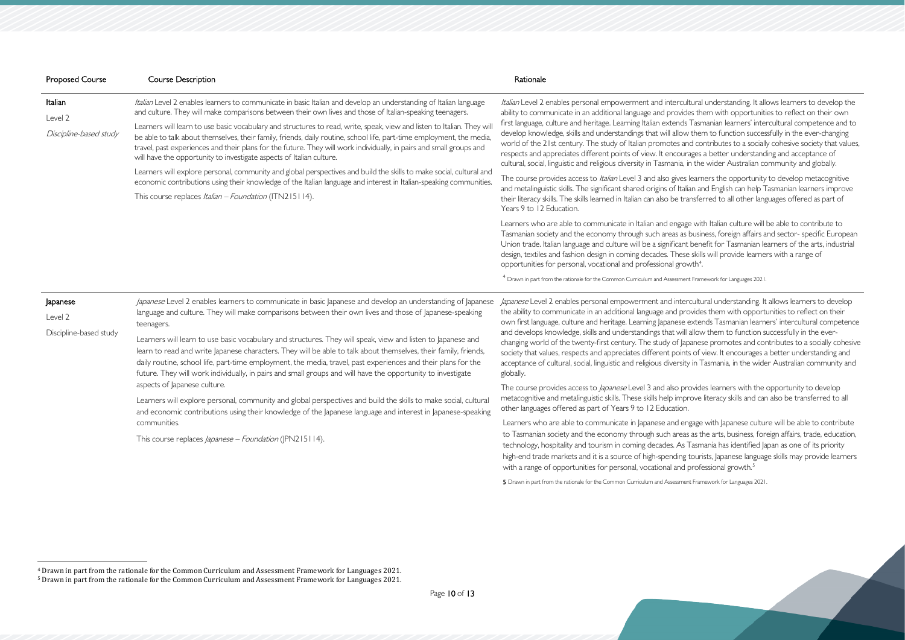<span id="page-9-1"></span><span id="page-9-0"></span>Itural understanding. It allows learners to develop the les them with opportunities to reflect on their own First language. Tasmanian learners' intercultural competence and to v them to function successfully in the ever-changing nd contributes to a socially cohesive society that values, rages a better understanding and acceptance of in the wider Australian community and globally.

learners the opportunity to develop metacognitive ian and English can help Tasmanian learners improve ansferred to all other languages offered as part of

Le with Italian culture will be able to contribute to business, foreign affairs and sector- specific European t benefit for Tasmanian learners of the arts, industrial e skills will provide learners with a range of wth $4$ .

1 Dramework for Languages 2021.

rcultural understanding. It allows learners to develop ovides them with opportunities to reflect on their extends Tasmanian learners' intercultural competence allow them to function successfully in the everpanese promotes and contributes to a socially cohesive ts of view. It encourages a better understanding and y in Tasmania, in the wider Australian community and

rovides learners with the opportunity to develop rove literacy skills and can also be transferred to all

ngage with Japanese culture will be able to contribute s as the arts, business, foreign affairs, trade, education, Tasmania has identified Japan as one of its priority tourists, Japanese language skills may provide learners

| <b>Proposed Course</b>                        | <b>Course Description</b>                                                                                                                                                                                                                                                                                                                                                                                                                                                                                                                                                                                                                                                                                                                                                                                                                                                                                                                                                                     | Rationale                                                                                                                                                                                                                                                                                                                                                                                                                                                                                                                                                                                                                                                                                                                                                                                                                                                                                                               |
|-----------------------------------------------|-----------------------------------------------------------------------------------------------------------------------------------------------------------------------------------------------------------------------------------------------------------------------------------------------------------------------------------------------------------------------------------------------------------------------------------------------------------------------------------------------------------------------------------------------------------------------------------------------------------------------------------------------------------------------------------------------------------------------------------------------------------------------------------------------------------------------------------------------------------------------------------------------------------------------------------------------------------------------------------------------|-------------------------------------------------------------------------------------------------------------------------------------------------------------------------------------------------------------------------------------------------------------------------------------------------------------------------------------------------------------------------------------------------------------------------------------------------------------------------------------------------------------------------------------------------------------------------------------------------------------------------------------------------------------------------------------------------------------------------------------------------------------------------------------------------------------------------------------------------------------------------------------------------------------------------|
| Italian<br>Level 2<br>Discipline-based study  | Italian Level 2 enables learners to communicate in basic Italian and develop an understanding of Italian language<br>and culture. They will make comparisons between their own lives and those of Italian-speaking teenagers.<br>Learners will learn to use basic vocabulary and structures to read, write, speak, view and listen to Italian. They wil<br>be able to talk about themselves, their family, friends, daily routine, school life, part-time employment, the media,<br>travel, past experiences and their plans for the future. They will work individually, in pairs and small groups and<br>will have the opportunity to investigate aspects of Italian culture.<br>Learners will explore personal, community and global perspectives and build the skills to make social, cultural and<br>economic contributions using their knowledge of the Italian language and interest in Italian-speaking communities.<br>This course replaces <i>Italian – Foundation</i> (ITN215114). | Italian Level 2 enables personal empowerment and intercultural understanding.<br>ability to communicate in an additional language and provides them with opport<br>first language, culture and heritage. Learning Italian extends Tasmanian learners'<br>develop knowledge, skills and understandings that will allow them to function su<br>world of the 21st century. The study of Italian promotes and contributes to a sc<br>respects and appreciates different points of view. It encourages a better underst<br>cultural, social, linguistic and religious diversity in Tasmania, in the wider Australia<br>The course provides access to Italian Level 3 and also gives learners the opportu<br>and metalinguistic skills. The significant shared origins of Italian and English can he<br>their literacy skills. The skills learned in Italian can also be transferred to all other<br>Years 9 to 12 Education. |
|                                               |                                                                                                                                                                                                                                                                                                                                                                                                                                                                                                                                                                                                                                                                                                                                                                                                                                                                                                                                                                                               | Learners who are able to communicate in Italian and engage with Italian culture<br>Tasmanian society and the economy through such areas as business, foreign affa<br>Union trade. Italian language and culture will be a significant benefit for Tasmania<br>design, textiles and fashion design in coming decades. These skills will provide lea<br>opportunities for personal, vocational and professional growth <sup>4</sup> .<br>$^4$ Drawn in part from the rationale for the Common Curriculum and Assessment Framework for Languages $^4$                                                                                                                                                                                                                                                                                                                                                                       |
| Japanese<br>Level 2<br>Discipline-based study | Japanese Level 2 enables learners to communicate in basic Japanese and develop an understanding of Japanese<br>language and culture. They will make comparisons between their own lives and those of Japanese-speaking<br>teenagers.<br>Learners will learn to use basic vocabulary and structures. They will speak, view and listen to Japanese and<br>learn to read and write Japanese characters. They will be able to talk about themselves, their family, friends,<br>daily routine, school life, part-time employment, the media, travel, past experiences and their plans for the<br>future. They will work individually, in pairs and small groups and will have the opportunity to investigate                                                                                                                                                                                                                                                                                       | Japanese Level 2 enables personal empowerment and intercultural understandir<br>the ability to communicate in an additional language and provides them with opp<br>own first language, culture and heritage. Learning Japanese extends Tasmanian le<br>and develops knowledge, skills and understandings that will allow them to functio<br>changing world of the twenty-first century. The study of Japanese promotes and<br>society that values, respects and appreciates different points of view. It encourage<br>acceptance of cultural, social, linguistic and religious diversity in Tasmania, in the v<br>globally.                                                                                                                                                                                                                                                                                             |
|                                               | aspects of Japanese culture.<br>Learners will explore personal, community and global perspectives and build the skills to make social, cultural<br>and economic contributions using their knowledge of the Japanese language and interest in Japanese-speaking<br>communities.<br>This course replaces <i>Japanese – Foundation</i> (JPN215114).                                                                                                                                                                                                                                                                                                                                                                                                                                                                                                                                                                                                                                              | The course provides access to <i>Japanese</i> Level 3 and also provides learners with<br>metacognitive and metalinguistic skills. These skills help improve literacy skills and<br>other languages offered as part of Years 9 to 12 Education.<br>Learners who are able to communicate in Japanese and engage with Japanese c<br>to Tasmanian society and the economy through such areas as the arts, business,<br>technology, hospitality and tourism in coming decades. As Tasmania has identifie<br>high-end trade markets and it is a source of high-spending tourists, Japanese lang<br>with a range of opportunities for personal, vocational and professional growth. <sup>5</sup>                                                                                                                                                                                                                               |

<sup>5</sup> Drawn in part from the rationale for the Common Curriculum and Assessment Framework for Languages 2021.

<sup>4</sup> Drawn in part from the rationale for the Common Curriculum and Assessment Framework for Languages 2021.

<sup>5</sup> Drawn in part from the rationale for the Common Curriculum and Assessment Framework for Languages 2021.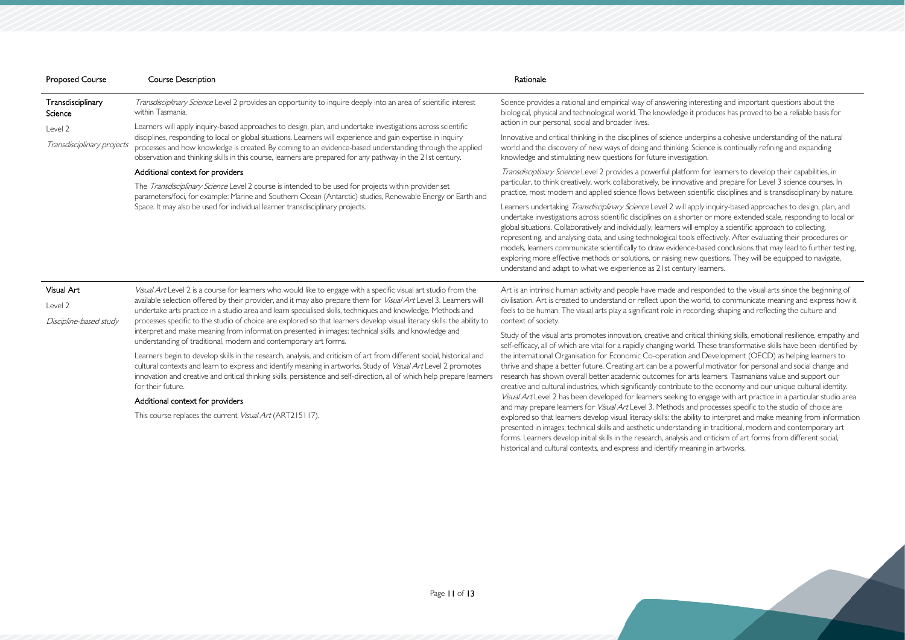| <b>Proposed Course</b>       | <b>Course Description</b>                                                                                                                                                                                                                                                                                                                                                                                                                                                                                                                               | Rationale                                                                                                                                                                                                                                                                                                                                                                                                                                                                                                 |
|------------------------------|---------------------------------------------------------------------------------------------------------------------------------------------------------------------------------------------------------------------------------------------------------------------------------------------------------------------------------------------------------------------------------------------------------------------------------------------------------------------------------------------------------------------------------------------------------|-----------------------------------------------------------------------------------------------------------------------------------------------------------------------------------------------------------------------------------------------------------------------------------------------------------------------------------------------------------------------------------------------------------------------------------------------------------------------------------------------------------|
| Transdisciplinary<br>Science | Transdisciplinary Science Level 2 provides an opportunity to inquire deeply into an area of scientific interest<br>within Tasmania.                                                                                                                                                                                                                                                                                                                                                                                                                     | Science provides a rational and empirical way of answering intere<br>biological, physical and technological world. The knowledge it pro-                                                                                                                                                                                                                                                                                                                                                                  |
| Level 2                      | Learners will apply inquiry-based approaches to design, plan, and undertake investigations across scientific                                                                                                                                                                                                                                                                                                                                                                                                                                            | action in our personal, social and broader lives.                                                                                                                                                                                                                                                                                                                                                                                                                                                         |
| Transdisciplinary projects   | disciplines, responding to local or global situations. Learners will experience and gain expertise in inquiry<br>processes and how knowledge is created. By coming to an evidence-based understanding through the applied<br>observation and thinking skills in this course, learners are prepared for any pathway in the 21st century.                                                                                                                                                                                                                 | Innovative and critical thinking in the disciplines of science underp<br>world and the discovery of new ways of doing and thinking. Scien<br>knowledge and stimulating new questions for future investigation.                                                                                                                                                                                                                                                                                            |
|                              | Additional context for providers                                                                                                                                                                                                                                                                                                                                                                                                                                                                                                                        | Transdisciplinary Science Level 2 provides a powerful platform fo                                                                                                                                                                                                                                                                                                                                                                                                                                         |
|                              | The Transdisciplinary Science Level 2 course is intended to be used for projects within provider set<br>parameters/foci, for example: Marine and Southern Ocean (Antarctic) studies, Renewable Energy or Earth and                                                                                                                                                                                                                                                                                                                                      | particular, to think creatively, work collaboratively, be innovative a<br>practice, most modern and applied science flows between scienti                                                                                                                                                                                                                                                                                                                                                                 |
|                              | Space. It may also be used for individual learner transdisciplinary projects.                                                                                                                                                                                                                                                                                                                                                                                                                                                                           | Learners undertaking Transdisciplinary Science Level 2 will apply i<br>undertake investigations across scientific disciplines on a shorter c<br>global situations. Collaboratively and individually, learners will emp<br>representing, and analysing data, and using technological tools effe<br>models, learners communicate scientifically to draw evidence-bas<br>exploring more effective methods or solutions, or raising new qu<br>understand and adapt to what we experience as 21st century lear |
| Visual Art                   | Visual Art Level 2 is a course for learners who would like to engage with a specific visual art studio from the<br>available selection offered by their provider, and it may also prepare them for Visual Art Level 3. Learners will<br>undertake arts practice in a studio area and learn specialised skills, techniques and knowledge. Methods and                                                                                                                                                                                                    | Art is an intrinsic human activity and people have made and respo                                                                                                                                                                                                                                                                                                                                                                                                                                         |
| Level 2                      |                                                                                                                                                                                                                                                                                                                                                                                                                                                                                                                                                         | civilisation. Art is created to understand or reflect upon the work<br>feels to be human. The visual arts play a significant role in recordin                                                                                                                                                                                                                                                                                                                                                             |
| Discipline-based study       | processes specific to the studio of choice are explored so that learners develop visual literacy skills: the ability to<br>$\mathbf{r} = \mathbf{r} + \mathbf{r} + \mathbf{r} + \mathbf{r} + \mathbf{r} + \mathbf{r} + \mathbf{r} + \mathbf{r} + \mathbf{r} + \mathbf{r} + \mathbf{r} + \mathbf{r} + \mathbf{r} + \mathbf{r} + \mathbf{r} + \mathbf{r} + \mathbf{r} + \mathbf{r} + \mathbf{r} + \mathbf{r} + \mathbf{r} + \mathbf{r} + \mathbf{r} + \mathbf{r} + \mathbf{r} + \mathbf{r} + \mathbf{r} + \mathbf{r} + \mathbf{r} + \mathbf{r} + \mathbf$ | context of society.                                                                                                                                                                                                                                                                                                                                                                                                                                                                                       |

interpret and make meaning from information presented in images; technical skills, and knowledge and understanding of traditional, modern and contemporary art forms.

Learners begin to develop skills in the research, analysis, and criticism of art from different social, historical and cultural contexts and learn to express and identify meaning in artworks. Study of Visual Art Level 2 promotes innovation and creative and critical thinking skills, persistence and self-direction, all of which help prepare learners for their future.

## Additional context for providers

This course replaces the current Visual Art (ART215117).

nteresting and important questions about the it produces has proved to be a reliable basis for

Inderpins a cohesive understanding of the natural Science is continually refining and expanding

rm for learners to develop their capabilities, in ative and prepare for Level 3 science courses. In scientific disciplines and is transdisciplinary by nature.

apply inquiry-based approaches to design, plan, and rter or more extended scale, responding to local or employ a scientific approach to collecting, Is effectively. After evaluating their procedures or e-based conclusions that may lead to further testing, ew questions. They will be equipped to navigate, ry learners.

responded to the visual arts since the beginning of world, to communicate meaning and express how it cording, shaping and reflecting the culture and

Study of the visual arts promotes innovation, creative and critical thinking skills, emotional resilience, empathy and self-efficacy, all of which are vital for a rapidly changing world. These transformative skills have been identified by the international Organisation for Economic Co-operation and Development (OECD) as helping learners to thrive and shape a better future. Creating art can be a powerful motivator for personal and social change and research has shown overall better academic outcomes for arts learners. Tasmanians value and support our creative and cultural industries, which significantly contribute to the economy and our unique cultural identity. Visual Art Level 2 has been developed for learners seeking to engage with art practice in a particular studio area and may prepare learners for Visual Art Level 3. Methods and processes specific to the studio of choice are explored so that learners develop visual literacy skills: the ability to interpret and make meaning from information presented in images; technical skills and aesthetic understanding in traditional, modern and contemporary art forms. Learners develop initial skills in the research, analysis and criticism of art forms from different social, historical and cultural contexts, and express and identify meaning in artworks.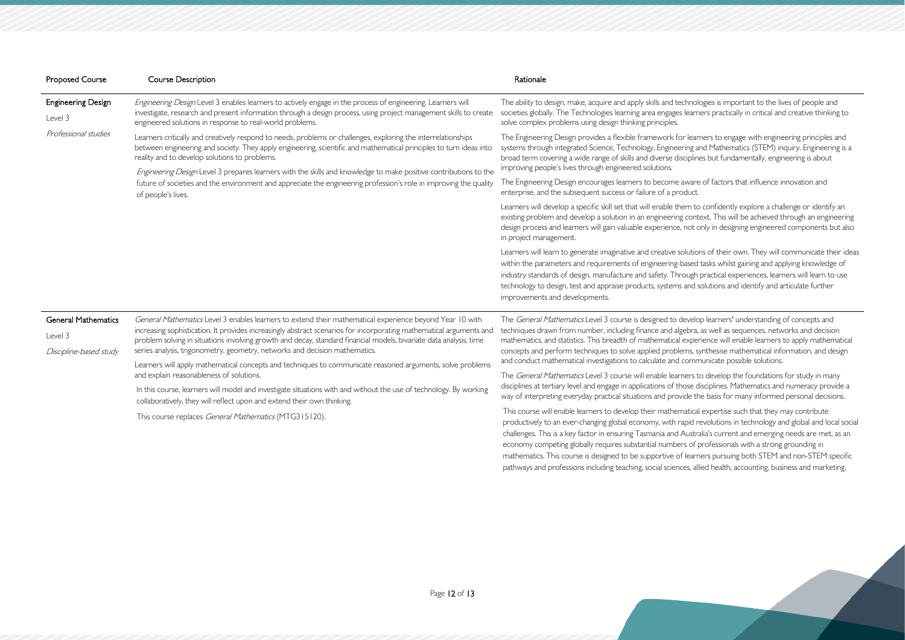thnologies is important to the lives of people and learners practically in critical and creative thinking to

learners to engage with engineering principles and ing and Mathematics (STEM) inquiry. Engineering is and Mathematics (STEM) inquiry. Engineering is a ciplines but fundamentally, engineering is about

ware of factors that influence innovation and

em to confidently explore a challenge or identify an context. This will be achieved through an engineering not only in designing engineered components but also

lutions of their own. They will communicate their ideas ased tasks whilst gaining and applying knowledge of bugh practical experiences, learners will learn to use and solutions and identify and articulate further

evelop learners' understanding of concepts and ebra, as well as sequences, networks and decision experience will enable learners to apply mathematical ms, synthesise mathematical information, and design communicate possible solutions.

The General Areal Mathematics Corporsion Study in many bse disciplines. Mathematics and numeracy provide a de the basis for many informed personal decisions.

| <b>Proposed Course</b>                                          | <b>Course Description</b>                                                                                                                                                                                                                                                                                                                                                                                                                                                                                                                                                                                                                                                                                                                                                                     | Rationale                                                                                                                                                                                                                                                                                                                                                                                                                                                                                         |
|-----------------------------------------------------------------|-----------------------------------------------------------------------------------------------------------------------------------------------------------------------------------------------------------------------------------------------------------------------------------------------------------------------------------------------------------------------------------------------------------------------------------------------------------------------------------------------------------------------------------------------------------------------------------------------------------------------------------------------------------------------------------------------------------------------------------------------------------------------------------------------|---------------------------------------------------------------------------------------------------------------------------------------------------------------------------------------------------------------------------------------------------------------------------------------------------------------------------------------------------------------------------------------------------------------------------------------------------------------------------------------------------|
| <b>Engineering Design</b><br>Level 3                            | Engineering Design Level 3 enables learners to actively engage in the process of engineering. Learners will<br>investigate, research and present information through a design process, using project management skills to create<br>engineered solutions in response to real-world problems.                                                                                                                                                                                                                                                                                                                                                                                                                                                                                                  | The ability to design, make, acquire and apply skills and technol<br>societies globally. The Technologies learning area engages learn<br>solve complex problems using design thinking principles.                                                                                                                                                                                                                                                                                                 |
| Professional studies                                            | Learners critically and creatively respond to needs, problems or challenges, exploring the interrelationships<br>between engineering and society. They apply engineering, scientific and mathematical principles to turn ideas into<br>reality and to develop solutions to problems.<br>Engineering Design Level 3 prepares learners with the skills and knowledge to make positive contributions to the<br>future of societies and the environment and appreciate the engineering profession's role in improving the quality<br>of people's lives.                                                                                                                                                                                                                                           | The Engineering Design provides a flexible framework for lear<br>systems through integrated Science, Technology, Engineering a<br>broad term covering a wide range of skills and diverse disciplin<br>improving people's lives through engineered solutions.                                                                                                                                                                                                                                      |
|                                                                 |                                                                                                                                                                                                                                                                                                                                                                                                                                                                                                                                                                                                                                                                                                                                                                                               | The Engineering Design encourages learners to become aware<br>enterprise, and the subsequent success or failure of a product.                                                                                                                                                                                                                                                                                                                                                                     |
|                                                                 |                                                                                                                                                                                                                                                                                                                                                                                                                                                                                                                                                                                                                                                                                                                                                                                               | Learners will develop a specific skill set that will enable them to<br>existing problem and develop a solution in an engineering cont<br>design process and learners will gain valuable experience, not of<br>in project management.                                                                                                                                                                                                                                                              |
|                                                                 |                                                                                                                                                                                                                                                                                                                                                                                                                                                                                                                                                                                                                                                                                                                                                                                               | Learners will learn to generate imaginative and creative solutio<br>within the parameters and requirements of engineering-based<br>industry standards of design, manufacture and safety. Through<br>technology to design, test and appraise products, systems and :<br>improvements and developments.                                                                                                                                                                                             |
| <b>General Mathematics</b><br>Level 3<br>Discipline-based study | General Mathematics Level 3 enables learners to extend their mathematical experience beyond Year 10 with<br>increasing sophistication. It provides increasingly abstract scenarios for incorporating mathematical arguments and<br>problem solving in situations involving growth and decay, standard financial models, bivariate data analysis, time<br>series analysis, trigonometry, geometry, networks and decision mathematics.<br>Learners will apply mathematical concepts and techniques to communicate reasoned arguments, solve problems<br>and explain reasonableness of solutions.<br>In this course, learners will model and investigate situations with and without the use of technology. By working<br>collaboratively, they will reflect upon and extend their own thinking. | The General Mathematics Level 3 course is designed to develo<br>techniques drawn from number, including finance and algebra,<br>mathematics, and statistics. This breadth of mathematical expe<br>concepts and perform techniques to solve applied problems, s<br>and conduct mathematical investigations to calculate and comr                                                                                                                                                                   |
|                                                                 |                                                                                                                                                                                                                                                                                                                                                                                                                                                                                                                                                                                                                                                                                                                                                                                               | The General Mathematics Level 3 course will enable learners t                                                                                                                                                                                                                                                                                                                                                                                                                                     |
|                                                                 |                                                                                                                                                                                                                                                                                                                                                                                                                                                                                                                                                                                                                                                                                                                                                                                               | disciplines at tertiary level and engage in applications of those of<br>way of interpreting everyday practical situations and provide th                                                                                                                                                                                                                                                                                                                                                          |
|                                                                 | This course replaces General Mathematics (MTG315120).                                                                                                                                                                                                                                                                                                                                                                                                                                                                                                                                                                                                                                                                                                                                         | This course will enable learners to develop their mathematica<br>productively to an ever-changing global economy, with rapid r<br>challenges. This is a key factor in ensuring Tasmania and Austr<br>economy competing globally requires substantial numbers of<br>and the property of the state of the state of the state of the state of the state of the state of the state of the state of the state of the state of the state of the state of the state of the state of the state of the sta |

atical expertise such that they may contribute pid revolutions in technology and global and local social Australia's current and emerging needs are met, as an economy competing in competing competing in substantial in a strong grounding in mathematics. This course is designed to be supportive of learners pursuing both STEM and non-STEM specific pathways and professions including teaching, social sciences, allied health, accounting, business and marketing.